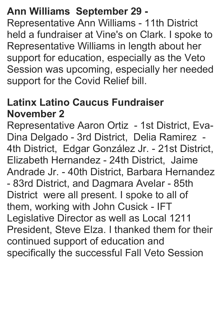## **Ann Williams September 29 -**

Representative Ann Williams - 11th District held a fundraiser at Vine's on Clark. I spoke to Representative Williams in length about her support for education, especially as the Veto Session was upcoming, especially her needed support for the Covid Relief bill.

## **Latinx Latino Caucus Fundraiser November 2**

Representative Aaron Ortiz - 1st District, Eva-Dina Delgado - 3rd District, Delia Ramirez - 4th District, Edgar González Jr. - 21st District, Elizabeth Hernandez - 24th District, Jaime Andrade Jr. - 40th District, Barbara Hernandez - 83rd District, and Dagmara Avelar - 85th District were all present. I spoke to all of them, working with John Cusick - IFT Legislative Director as well as Local 1211 President, Steve Elza. I thanked them for their continued support of education and specifically the successful Fall Veto Session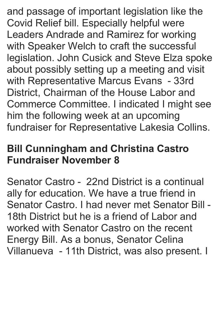and passage of important legislation like the Covid Relief bill. Especially helpful were Leaders Andrade and Ramirez for working with Speaker Welch to craft the successful legislation. John Cusick and Steve Elza spoke about possibly setting up a meeting and visit with Representative Marcus Evans - 33rd District, Chairman of the House Labor and Commerce Committee. I indicated I might see him the following week at an upcoming fundraiser for Representative Lakesia Collins.

## **Bill Cunningham and Christina Castro Fundraiser November 8**

Senator Castro - 22nd District is a continual ally for education. We have a true friend in Senator Castro. I had never met Senator Bill - 18th District but he is a friend of Labor and worked with Senator Castro on the recent Energy Bill. As a bonus, Senator Celina Villanueva - 11th District, was also present. I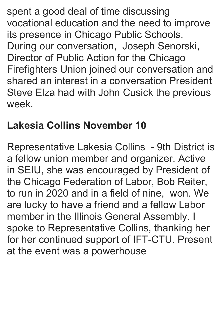spent a good deal of time discussing vocational education and the need to improve its presence in Chicago Public Schools. During our conversation, Joseph Senorski, Director of Public Action for the Chicago Firefighters Union joined our conversation and shared an interest in a conversation President Steve Elza had with John Cusick the previous week.

## **Lakesia Collins November 10**

Representative Lakesia Collins - 9th District is a fellow union member and organizer. Active in SEIU, she was encouraged by President of the Chicago Federation of Labor, Bob Reiter, to run in 2020 and in a field of nine, won. We are lucky to have a friend and a fellow Labor member in the Illinois General Assembly. I spoke to Representative Collins, thanking her for her continued support of IFT-CTU. Present at the event was a powerhouse